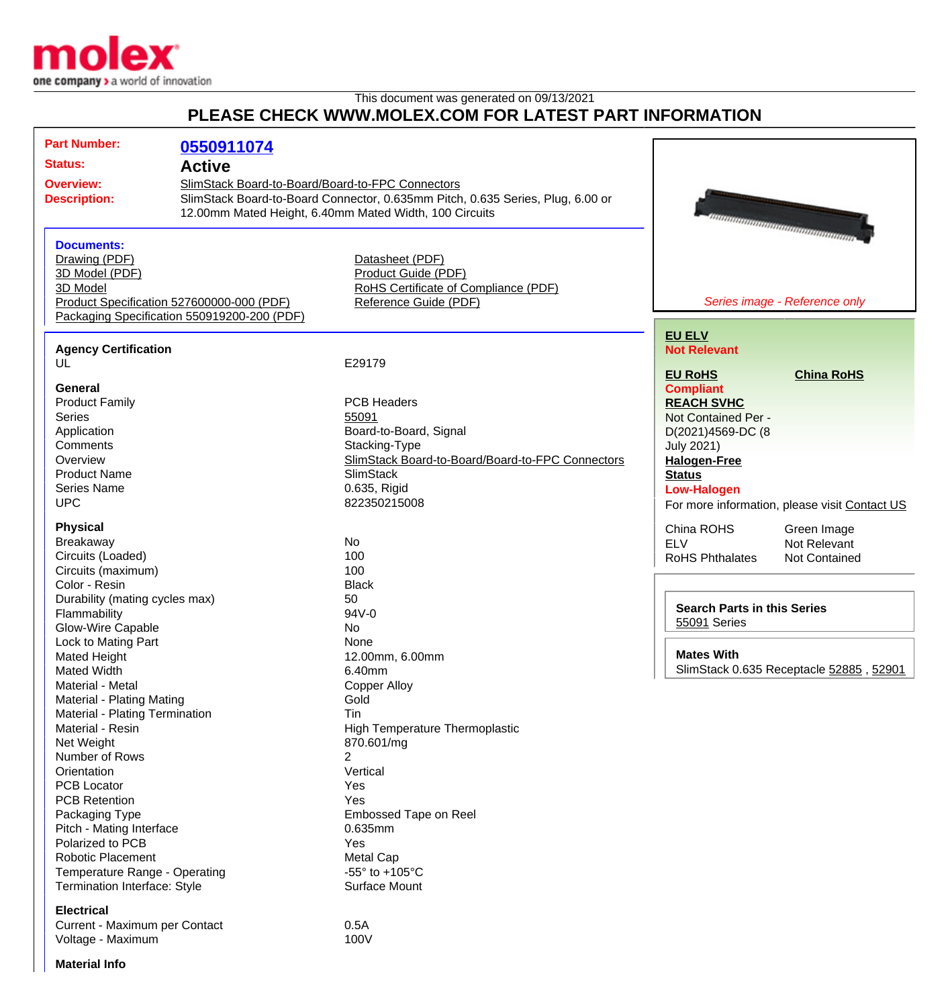

## This document was generated on 09/13/2021 **PLEASE CHECK WWW.MOLEX.COM FOR LATEST PART INFORMATION**

| <b>Part Number:</b>                                                                                                                                                                                                                                                                                                                                                                                                                                                                                                                                                                                                                                                     | 0550911074                                  |                                                                                                                                                                                                                                                                                                                                                                                                                                                                         |                                                                                                                                                                                                                                                                                                                         |                                                                                                                                                                      |
|-------------------------------------------------------------------------------------------------------------------------------------------------------------------------------------------------------------------------------------------------------------------------------------------------------------------------------------------------------------------------------------------------------------------------------------------------------------------------------------------------------------------------------------------------------------------------------------------------------------------------------------------------------------------------|---------------------------------------------|-------------------------------------------------------------------------------------------------------------------------------------------------------------------------------------------------------------------------------------------------------------------------------------------------------------------------------------------------------------------------------------------------------------------------------------------------------------------------|-------------------------------------------------------------------------------------------------------------------------------------------------------------------------------------------------------------------------------------------------------------------------------------------------------------------------|----------------------------------------------------------------------------------------------------------------------------------------------------------------------|
| <b>Status:</b>                                                                                                                                                                                                                                                                                                                                                                                                                                                                                                                                                                                                                                                          | <b>Active</b>                               |                                                                                                                                                                                                                                                                                                                                                                                                                                                                         |                                                                                                                                                                                                                                                                                                                         |                                                                                                                                                                      |
| <b>Overview:</b><br>SlimStack Board-to-Board/Board-to-FPC Connectors<br><b>Description:</b>                                                                                                                                                                                                                                                                                                                                                                                                                                                                                                                                                                             |                                             | SlimStack Board-to-Board Connector, 0.635mm Pitch, 0.635 Series, Plug, 6.00 or<br>12.00mm Mated Height, 6.40mm Mated Width, 100 Circuits                                                                                                                                                                                                                                                                                                                                |                                                                                                                                                                                                                                                                                                                         | umaanammaanammaanamma                                                                                                                                                |
| <b>Documents:</b><br>Drawing (PDF)<br>3D Model (PDF)<br>3D Model<br>Product Specification 527600000-000 (PDF)                                                                                                                                                                                                                                                                                                                                                                                                                                                                                                                                                           | Packaging Specification 550919200-200 (PDF) | Datasheet (PDF)<br>Product Guide (PDF)<br>RoHS Certificate of Compliance (PDF)<br>Reference Guide (PDF)                                                                                                                                                                                                                                                                                                                                                                 |                                                                                                                                                                                                                                                                                                                         | Series image - Reference only                                                                                                                                        |
| <b>Agency Certification</b><br>UL                                                                                                                                                                                                                                                                                                                                                                                                                                                                                                                                                                                                                                       |                                             | E29179                                                                                                                                                                                                                                                                                                                                                                                                                                                                  | <b>EU ELV</b><br><b>Not Relevant</b>                                                                                                                                                                                                                                                                                    |                                                                                                                                                                      |
| <b>General</b><br><b>Product Family</b><br><b>Series</b><br>Application<br>Comments<br>Overview<br><b>Product Name</b><br><b>Series Name</b><br><b>UPC</b><br><b>Physical</b><br><b>Breakaway</b><br>Circuits (Loaded)<br>Circuits (maximum)<br>Color - Resin<br>Durability (mating cycles max)<br>Flammability<br>Glow-Wire Capable<br>Lock to Mating Part<br>Mated Height<br>Mated Width<br>Material - Metal<br><b>Material - Plating Mating</b><br>Material - Plating Termination<br>Material - Resin<br>Net Weight<br>Number of Rows<br>Orientation<br><b>PCB Locator</b><br><b>PCB Retention</b><br>Packaging Type<br>Pitch - Mating Interface<br>Polarized to PCB |                                             | <b>PCB Headers</b><br>55091<br>Board-to-Board, Signal<br>Stacking-Type<br>SlimStack Board-to-Board/Board-to-FPC Connectors<br><b>SlimStack</b><br>0.635, Rigid<br>822350215008<br><b>No</b><br>100<br>100<br><b>Black</b><br>50<br>94V-0<br>No<br>None<br>12.00mm, 6.00mm<br>6.40mm<br><b>Copper Alloy</b><br>Gold<br>Tin<br><b>High Temperature Thermoplastic</b><br>870.601/mg<br>$\overline{2}$<br>Vertical<br>Yes<br>Yes<br>Embossed Tape on Reel<br>0.635mm<br>Yes | <b>EU RoHS</b><br><b>Compliant</b><br><b>REACH SVHC</b><br>Not Contained Per -<br>D(2021)4569-DC (8<br><b>July 2021)</b><br><b>Halogen-Free</b><br><b>Status</b><br><b>Low-Halogen</b><br>China ROHS<br><b>ELV</b><br><b>RoHS Phthalates</b><br><b>Search Parts in this Series</b><br>55091 Series<br><b>Mates With</b> | <b>China RoHS</b><br>For more information, please visit Contact US<br>Green Image<br>Not Relevant<br><b>Not Contained</b><br>SlimStack 0.635 Receptacle 52885, 52901 |
| <b>Robotic Placement</b><br>Temperature Range - Operating<br>Termination Interface: Style<br><b>Electrical</b>                                                                                                                                                                                                                                                                                                                                                                                                                                                                                                                                                          |                                             | Metal Cap<br>-55 $\degree$ to +105 $\degree$ C<br>Surface Mount                                                                                                                                                                                                                                                                                                                                                                                                         |                                                                                                                                                                                                                                                                                                                         |                                                                                                                                                                      |

Current - Maximum per Contact<br>Voltage - Maximum contact de contracte de la contracte de la contracte de la contracte de la contracte de la c Voltage - Maximum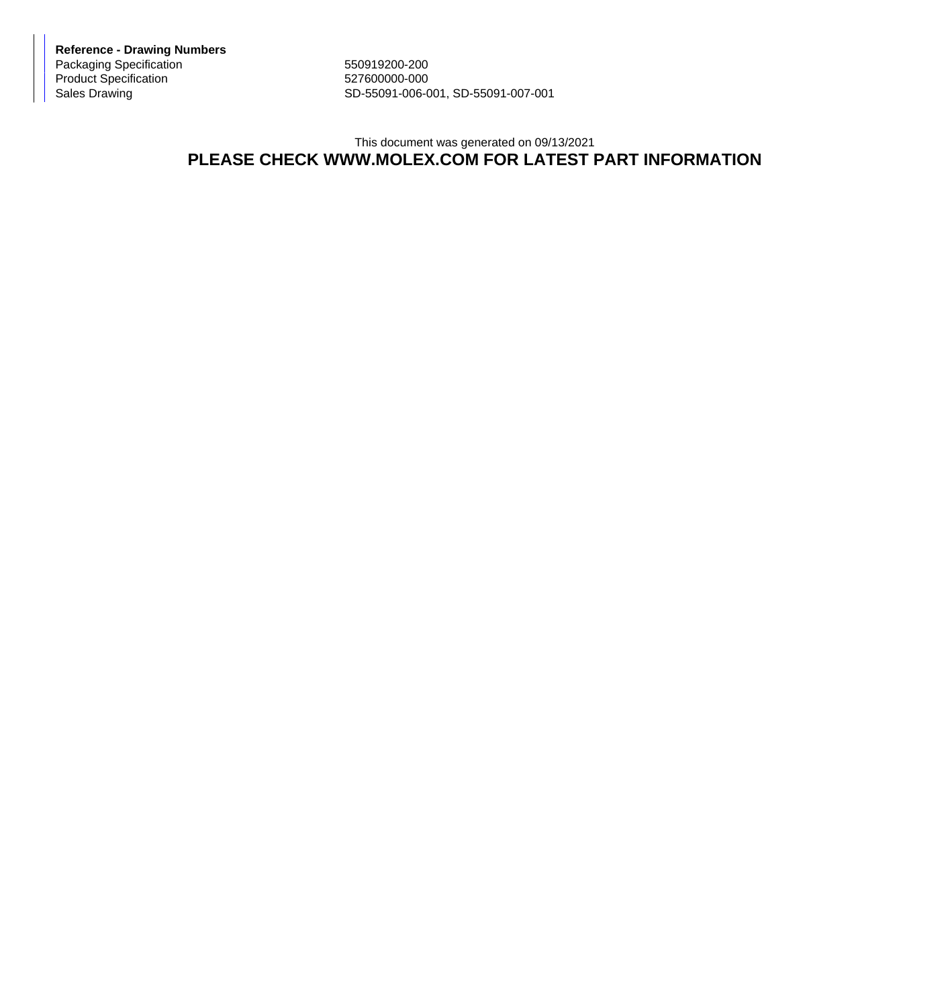**Reference - Drawing Numbers** Packaging Specification 550919200-200 Product Specification 527600000-000<br>Sales Drawing 527600000-006-006-000

SD-55091-006-001, SD-55091-007-001

## This document was generated on 09/13/2021 **PLEASE CHECK WWW.MOLEX.COM FOR LATEST PART INFORMATION**